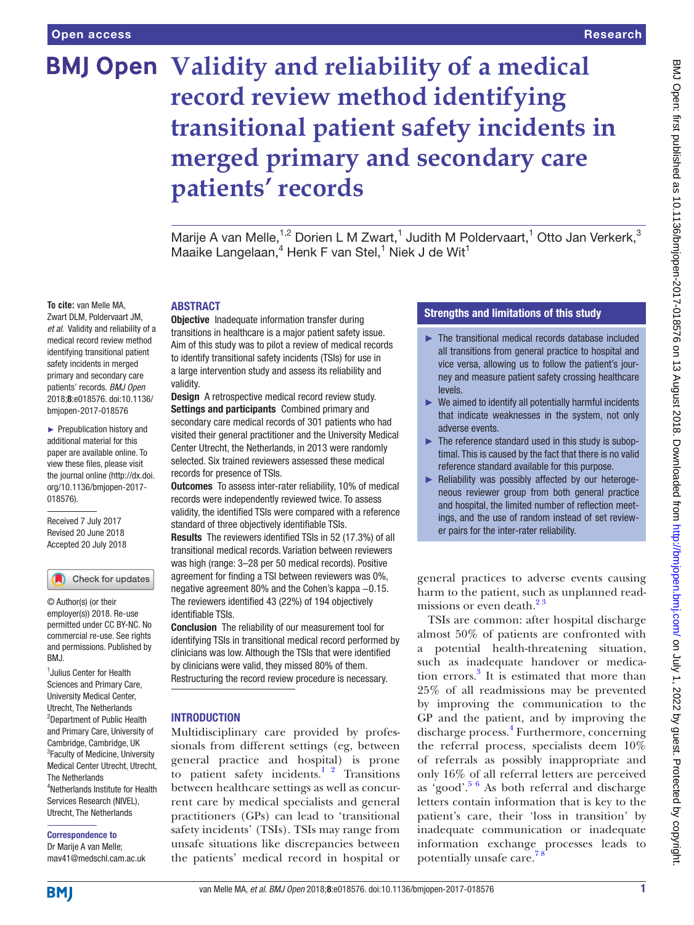# **BMJ Open Validity and reliability of a medical record review method identifying transitional patient safety incidents in merged primary and secondary care patients' records**

Marije A van Melle,<sup>1,2</sup> Dorien L M Zwart,<sup>1</sup> Judith M Poldervaart,<sup>1</sup> Otto Jan Verkerk,<sup>3</sup> Maaike Langelaan,<sup>4</sup> Henk F van Stel,<sup>1</sup> Niek J de Wit<sup>1</sup>

#### **To cite:** van Melle MA,

Zwart DLM, Poldervaart JM, *et al*. Validity and reliability of a medical record review method identifying transitional patient safety incidents in merged primary and secondary care patients' records. *BMJ Open* 2018;8:e018576. doi:10.1136/ bmjopen-2017-018576

► Prepublication history and additional material for this paper are available online. To view these files, please visit the journal online [\(http://dx.doi.](http://dx.doi.org/10.1136/bmjopen-2017-018576) [org/10.1136/bmjopen-2017-](http://dx.doi.org/10.1136/bmjopen-2017-018576) [018576\)](http://dx.doi.org/10.1136/bmjopen-2017-018576).

Received 7 July 2017 Revised 20 June 2018 Accepted 20 July 2018



© Author(s) (or their employer(s)) 2018. Re-use permitted under CC BY-NC. No commercial re-use. See rights and permissions. Published by RM<sub>J</sub>

<sup>1</sup> Julius Center for Health Sciences and Primary Care, University Medical Center, Utrecht, The Netherlands 2 Department of Public Health and Primary Care, University of Cambridge, Cambridge, UK <sup>3</sup> Faculty of Medicine, University Medical Center Utrecht, Utrecht, The Netherlands 4 Netherlands Institute for Health Services Research (NIVEL), Utrecht, The Netherlands

#### Correspondence to

Dr Marije A van Melle; mav41@medschl.cam.ac.uk

# **ABSTRACT**

**Objective** Inadequate information transfer during transitions in healthcare is a major patient safety issue. Aim of this study was to pilot a review of medical records to identify transitional safety incidents (TSIs) for use in a large intervention study and assess its reliability and validity.

Design A retrospective medical record review study. Settings and participants Combined primary and secondary care medical records of 301 patients who had visited their general practitioner and the University Medical Center Utrecht, the Netherlands, in 2013 were randomly selected. Six trained reviewers assessed these medical records for presence of TSIs.

**Outcomes** To assess inter-rater reliability, 10% of medical records were independently reviewed twice. To assess validity, the identified TSIs were compared with a reference standard of three objectively identifiable TSIs. Results The reviewers identified TSIs in 52 (17.3%) of all transitional medical records. Variation between reviewers was high (range: 3–28 per 50 medical records). Positive agreement for finding a TSI between reviewers was 0%, negative agreement 80% and the Cohen's kappa −0.15. The reviewers identified 43 (22%) of 194 objectively identifiable TSIs.

Conclusion The reliability of our measurement tool for identifying TSIs in transitional medical record performed by clinicians was low. Although the TSIs that were identified by clinicians were valid, they missed 80% of them. Restructuring the record review procedure is necessary.

#### **INTRODUCTION**

Multidisciplinary care provided by professionals from different settings (eg, between general practice and hospital) is prone to patient safety incidents.<sup>1</sup>  $2$  Transitions between healthcare settings as well as concurrent care by medical specialists and general practitioners (GPs) can lead to 'transitional safety incidents' (TSIs). TSIs may range from unsafe situations like discrepancies between the patients' medical record in hospital or

# Strengths and limitations of this study

- ► The transitional medical records database included all transitions from general practice to hospital and vice versa, allowing us to follow the patient's journey and measure patient safety crossing healthcare levels.
- $\blacktriangleright$  We aimed to identify all potentially harmful incidents that indicate weaknesses in the system, not only adverse events.
- $\blacktriangleright$  The reference standard used in this study is suboptimal. This is caused by the fact that there is no valid reference standard available for this purpose.
- ► Reliability was possibly affected by our heterogeneous reviewer group from both general practice and hospital, the limited number of reflection meetings, and the use of random instead of set reviewer pairs for the inter-rater reliability.

general practices to adverse events causing harm to the patient, such as unplanned readmissions or even death. $2<sup>3</sup>$ 

TSIs are common: after hospital discharge almost 50% of patients are confronted with potential health-threatening situation, such as inadequate handover or medication errors.<sup>3</sup> It is estimated that more than 25% of all readmissions may be prevented by improving the communication to the GP and the patient, and by improving the discharge process.<sup>4</sup> Furthermore, concerning the referral process, specialists deem 10% of referrals as possibly inappropriate and only 16% of all referral letters are perceived as 'good'. $5/6$  As both referral and discharge letters contain information that is key to the patient's care, their 'loss in transition' by inadequate communication or inadequate information exchange processes leads to potentially unsafe care.<sup>7</sup>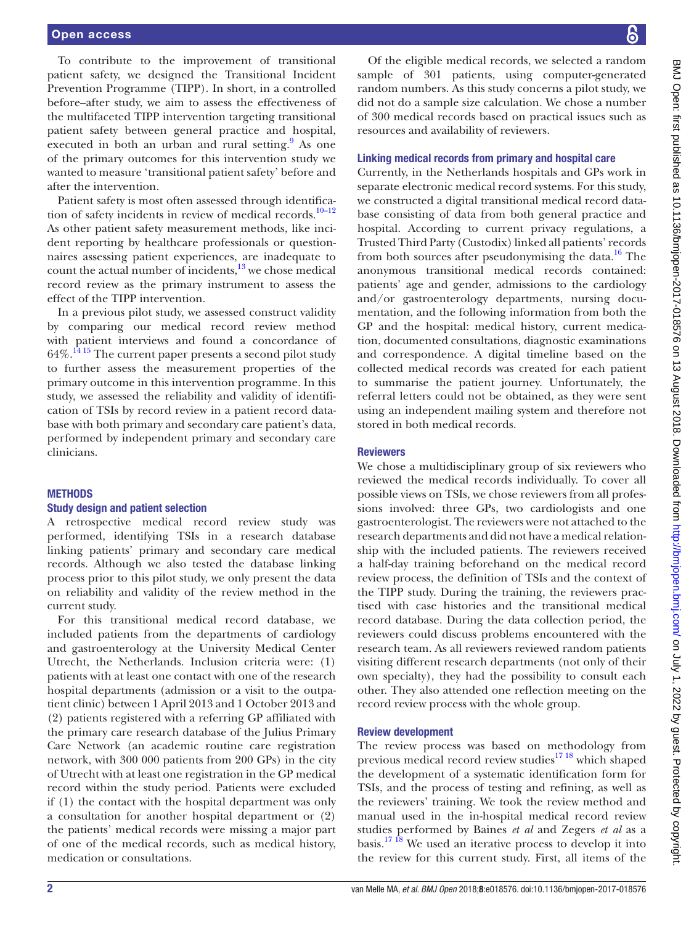To contribute to the improvement of transitional patient safety, we designed the Transitional Incident Prevention Programme (TIPP). In short, in a controlled before–after study, we aim to assess the effectiveness of the multifaceted TIPP intervention targeting transitional patient safety between general practice and hospital, executed in both an urban and rural setting. As one of the primary outcomes for this intervention study we wanted to measure 'transitional patient safety' before and after the intervention.

Patient safety is most often assessed through identification of safety incidents in review of medical records.<sup>10-12</sup> As other patient safety measurement methods, like incident reporting by healthcare professionals or questionnaires assessing patient experiences, are inadequate to count the actual number of incidents, $13$  we chose medical record review as the primary instrument to assess the effect of the TIPP intervention.

In a previous pilot study, we assessed construct validity by comparing our medical record review method with patient interviews and found a concordance of  $64\%$ .<sup>14 15</sup> The current paper presents a second pilot study to further assess the measurement properties of the primary outcome in this intervention programme. In this study, we assessed the reliability and validity of identification of TSIs by record review in a patient record database with both primary and secondary care patient's data, performed by independent primary and secondary care clinicians.

#### **METHODS**

#### Study design and patient selection

A retrospective medical record review study was performed, identifying TSIs in a research database linking patients' primary and secondary care medical records. Although we also tested the database linking process prior to this pilot study, we only present the data on reliability and validity of the review method in the current study.

For this transitional medical record database, we included patients from the departments of cardiology and gastroenterology at the University Medical Center Utrecht, the Netherlands. Inclusion criteria were: (1) patients with at least one contact with one of the research hospital departments (admission or a visit to the outpatient clinic) between 1 April 2013 and 1 October 2013 and (2) patients registered with a referring GP affiliated with the primary care research database of the Julius Primary Care Network (an academic routine care registration network, with 300 000 patients from 200 GPs) in the city of Utrecht with at least one registration in the GP medical record within the study period. Patients were excluded if (1) the contact with the hospital department was only a consultation for another hospital department or (2) the patients' medical records were missing a major part of one of the medical records, such as medical history, medication or consultations.

Of the eligible medical records, we selected a random sample of 301 patients, using computer-generated random numbers. As this study concerns a pilot study, we did not do a sample size calculation. We chose a number of 300 medical records based on practical issues such as resources and availability of reviewers.

#### Linking medical records from primary and hospital care

Currently, in the Netherlands hospitals and GPs work in separate electronic medical record systems. For this study, we constructed a digital transitional medical record database consisting of data from both general practice and hospital. According to current privacy regulations, a Trusted Third Party (Custodix) linked all patients' records from both sources after pseudonymising the data. $16$  The anonymous transitional medical records contained: patients' age and gender, admissions to the cardiology and/or gastroenterology departments, nursing documentation, and the following information from both the GP and the hospital: medical history, current medication, documented consultations, diagnostic examinations and correspondence. A digital timeline based on the collected medical records was created for each patient to summarise the patient journey. Unfortunately, the referral letters could not be obtained, as they were sent using an independent mailing system and therefore not stored in both medical records.

#### **Reviewers**

We chose a multidisciplinary group of six reviewers who reviewed the medical records individually. To cover all possible views on TSIs, we chose reviewers from all professions involved: three GPs, two cardiologists and one gastroenterologist. The reviewers were not attached to the research departments and did not have a medical relationship with the included patients. The reviewers received a half-day training beforehand on the medical record review process, the definition of TSIs and the context of the TIPP study. During the training, the reviewers practised with case histories and the transitional medical record database. During the data collection period, the reviewers could discuss problems encountered with the research team. As all reviewers reviewed random patients visiting different research departments (not only of their own specialty), they had the possibility to consult each other. They also attended one reflection meeting on the record review process with the whole group.

#### Review development

The review process was based on methodology from previous medical record review studies<sup>17</sup> 18 which shaped the development of a systematic identification form for TSIs, and the process of testing and refining, as well as the reviewers' training. We took the review method and manual used in the in-hospital medical record review studies performed by Baines *et al* and Zegers *et al* as a basis.[17 18](#page-7-11) We used an iterative process to develop it into the review for this current study. First, all items of the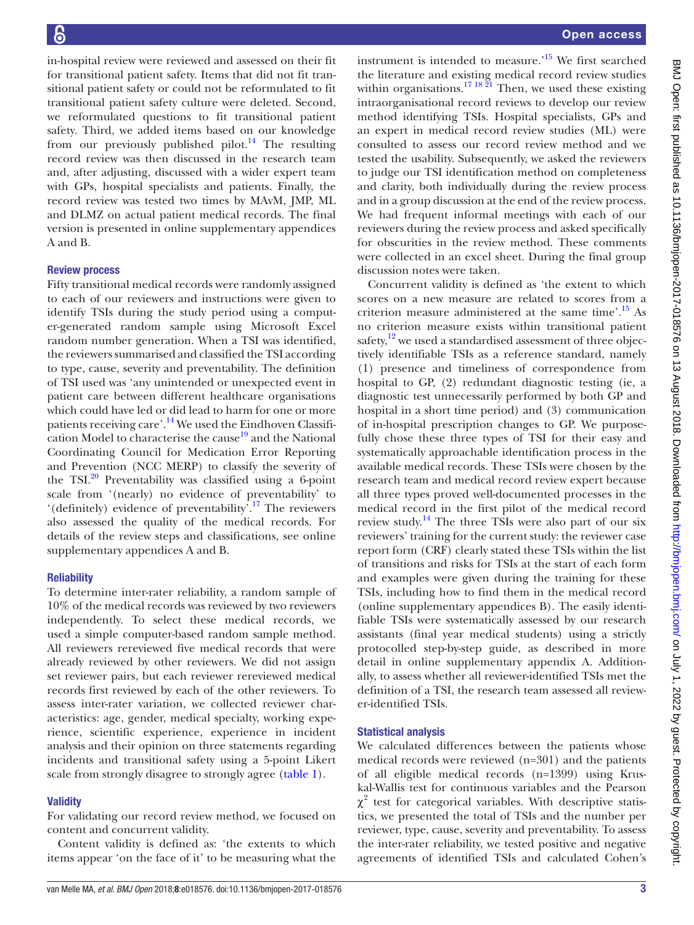in-hospital review were reviewed and assessed on their fit for transitional patient safety. Items that did not fit transitional patient safety or could not be reformulated to fit transitional patient safety culture were deleted. Second, we reformulated questions to fit transitional patient safety. Third, we added items based on our knowledge from our previously published pilot.<sup>14</sup> The resulting record review was then discussed in the research team and, after adjusting, discussed with a wider expert team with GPs, hospital specialists and patients. Finally, the record review was tested two times by MAvM, JMP, ML and DLMZ on actual patient medical records. The final version is presented in online [supplementary appendices](https://dx.doi.org/10.1136/bmjopen-2017-018576) [A and B](https://dx.doi.org/10.1136/bmjopen-2017-018576).

## Review process

Fifty transitional medical records were randomly assigned to each of our reviewers and instructions were given to identify TSIs during the study period using a computer-generated random sample using Microsoft Excel random number generation. When a TSI was identified, the reviewers summarised and classified the TSI according to type, cause, severity and preventability. The definition of TSI used was 'any unintended or unexpected event in patient care between different healthcare organisations which could have led or did lead to harm for one or more patients receiving care'.<sup>14</sup> We used the Eindhoven Classification Model to characterise the cause<sup>19</sup> and the National Coordinating Council for Medication Error Reporting and Prevention (NCC MERP) to classify the severity of the TSI. $^{20}$  Preventability was classified using a 6-point scale from '(nearly) no evidence of preventability' to '(definitely) evidence of preventability<sup> $\cdot$ , 17</sup> The reviewers also assessed the quality of the medical records. For details of the review steps and classifications, see online [supplementary appendices A and B](https://dx.doi.org/10.1136/bmjopen-2017-018576).

## **Reliability**

To determine inter-rater reliability, a random sample of 10% of the medical records was reviewed by two reviewers independently. To select these medical records, we used a simple computer-based random sample method. All reviewers rereviewed five medical records that were already reviewed by other reviewers. We did not assign set reviewer pairs, but each reviewer rereviewed medical records first reviewed by each of the other reviewers. To assess inter-rater variation, we collected reviewer characteristics: age, gender, medical specialty, working experience, scientific experience, experience in incident analysis and their opinion on three statements regarding incidents and transitional safety using a 5-point Likert scale from strongly disagree to strongly agree [\(table](#page-3-0) 1).

## **Validity**

For validating our record review method, we focused on content and concurrent validity.

Content validity is defined as: 'the extents to which items appear 'on the face of it' to be measuring what the instrument is intended to measure.['15](#page-7-14) We first searched the literature and existing medical record review studies within organisations.<sup>17 18  $\overline{21}$ </sup> Then, we used these existing intraorganisational record reviews to develop our review method identifying TSIs. Hospital specialists, GPs and an expert in medical record review studies (ML) were consulted to assess our record review method and we tested the usability. Subsequently, we asked the reviewers to judge our TSI identification method on completeness and clarity, both individually during the review process and in a group discussion at the end of the review process. We had frequent informal meetings with each of our reviewers during the review process and asked specifically for obscurities in the review method. These comments were collected in an excel sheet. During the final group discussion notes were taken.

Concurrent validity is defined as 'the extent to which scores on a new measure are related to scores from a criterion measure administered at the same time'.<sup>[15](#page-7-14)</sup> As no criterion measure exists within transitional patient safety, $12$  we used a standardised assessment of three objectively identifiable TSIs as a reference standard, namely (1) presence and timeliness of correspondence from hospital to GP, (2) redundant diagnostic testing (ie, a diagnostic test unnecessarily performed by both GP and hospital in a short time period) and (3) communication of in-hospital prescription changes to GP. We purposefully chose these three types of TSI for their easy and systematically approachable identification process in the available medical records. These TSIs were chosen by the research team and medical record review expert because all three types proved well-documented processes in the medical record in the first pilot of the medical record review study.<sup>14</sup> The three TSIs were also part of our six reviewers' training for the current study: the reviewer case report form (CRF) clearly stated these TSIs within the list of transitions and risks for TSIs at the start of each form and examples were given during the training for these TSIs, including how to find them in the medical record (online [supplementary appendices B](https://dx.doi.org/10.1136/bmjopen-2017-018576)). The easily identifiable TSIs were systematically assessed by our research assistants (final year medical students) using a strictly protocolled step-by-step guide, as described in more detail in online [supplementary appendix A](https://dx.doi.org/10.1136/bmjopen-2017-018576). Additionally, to assess whether all reviewer-identified TSIs met the definition of a TSI, the research team assessed all reviewer-identified TSIs.

## Statistical analysis

We calculated differences between the patients whose medical records were reviewed (n=301) and the patients of all eligible medical records (n=1399) using Kruskal-Wallis test for continuous variables and the Pearson  $\chi^2$  test for categorical variables. With descriptive statistics, we presented the total of TSIs and the number per reviewer, type, cause, severity and preventability. To assess the inter-rater reliability, we tested positive and negative agreements of identified TSIs and calculated Cohen's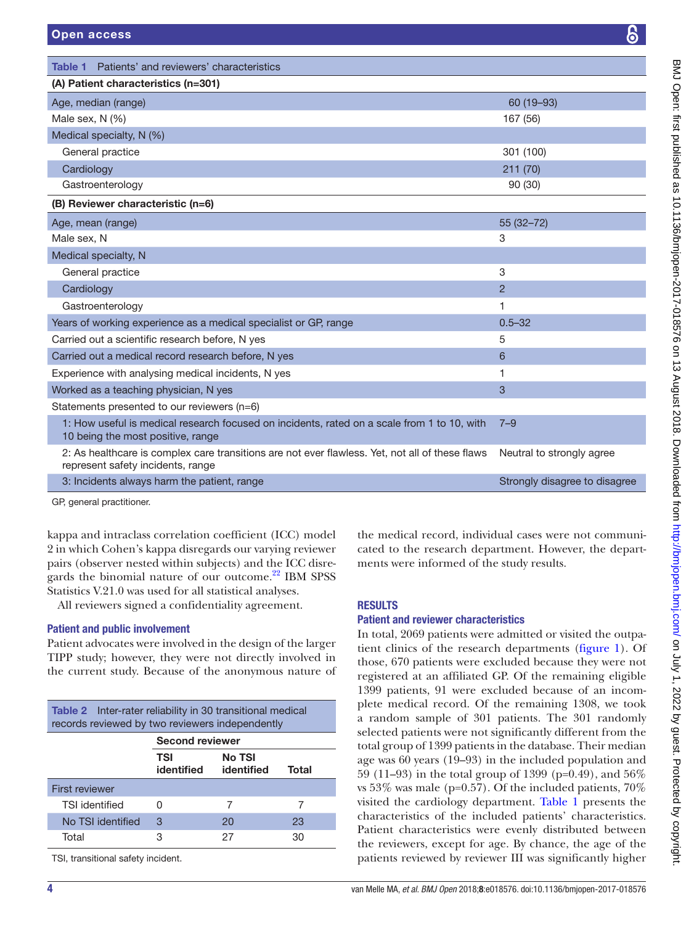<span id="page-3-0"></span>

| Open access                                                      |               |
|------------------------------------------------------------------|---------------|
|                                                                  |               |
| Patients' and reviewers' characteristics<br>Table 1              |               |
| (A) Patient characteristics (n=301)                              |               |
| Age, median (range)                                              | 60 (19 - 93)  |
| Male sex, $N$ $(\%)$                                             | 167 (56)      |
| Medical specialty, N (%)                                         |               |
| General practice                                                 | 301 (100)     |
| Cardiology                                                       | 211(70)       |
| Gastroenterology                                                 | 90 (30)       |
| (B) Reviewer characteristic (n=6)                                |               |
| Age, mean (range)                                                | $55(32 - 72)$ |
| Male sex, N                                                      | 3             |
| Medical specialty, N                                             |               |
| General practice                                                 | 3             |
| Cardiology                                                       | 2             |
| Gastroenterology                                                 | 1             |
| Years of working experience as a medical specialist or GP, range | $0.5 - 32$    |
| Carried out a scientific research before, N yes                  | 5             |

Carried out a medical record research before, N yes 6 Experience with analysing medical incidents, N yes 1 Worked as a teaching physician, N yes 3

1: How useful is medical research focused on incidents, rated on a scale from 1 to 10, with

2: As healthcare is complex care transitions are not ever flawless. Yet, not all of these flaws

GP, general practitioner.

kappa and intraclass correlation coefficient (ICC) model 2 in which Cohen's kappa disregards our varying reviewer pairs (observer nested within subjects) and the ICC disregards the binomial nature of our outcome.<sup>22</sup> IBM SPSS Statistics V.21.0 was used for all statistical analyses.

All reviewers signed a confidentiality agreement.

Statements presented to our reviewers (n=6)

10 being the most positive, range

represent safety incidents, range

## Patient and public involvement

Patient advocates were involved in the design of the larger TIPP study; however, they were not directly involved in the current study. Because of the anonymous nature of

| <b>Table 2</b> Inter-rater reliability in 30 transitional medical<br>records reviewed by two reviewers independently |                        |                             |       |
|----------------------------------------------------------------------------------------------------------------------|------------------------|-----------------------------|-------|
|                                                                                                                      | <b>Second reviewer</b> |                             |       |
|                                                                                                                      | TSI<br>identified      | <b>No TSI</b><br>identified | Total |
| First reviewer                                                                                                       |                        |                             |       |
| TSI identified                                                                                                       | U                      | 7                           | 7     |
| No TSI identified                                                                                                    | 3                      | 20                          | 23    |
| Total                                                                                                                | 3                      | 27                          | 30    |

TSI, transitional safety incident.

the medical record, individual cases were not communicated to the research department. However, the departments were informed of the study results.

7–9

Neutral to strongly agree

## **RESULTS**

3: Incidents always harm the patient, range Strongly disagree to disagree to disagree to disagree to disagree

## Patient and reviewer characteristics

In total, 2069 patients were admitted or visited the outpatient clinics of the research departments [\(figure](#page-4-0) 1). Of those, 670 patients were excluded because they were not registered at an affiliated GP. Of the remaining eligible 1399 patients, 91 were excluded because of an incomplete medical record. Of the remaining 1308, we took a random sample of 301 patients. The 301 randomly selected patients were not significantly different from the total group of 1399 patients in the database. Their median age was 60 years (19–93) in the included population and 59 (11–93) in the total group of 1399 (p=0.49), and 56% vs 53% was male (p=0.57). Of the included patients, 70% visited the cardiology department. [Table](#page-3-0) 1 presents the characteristics of the included patients' characteristics. Patient characteristics were evenly distributed between the reviewers, except for age. By chance, the age of the patients reviewed by reviewer III was significantly higher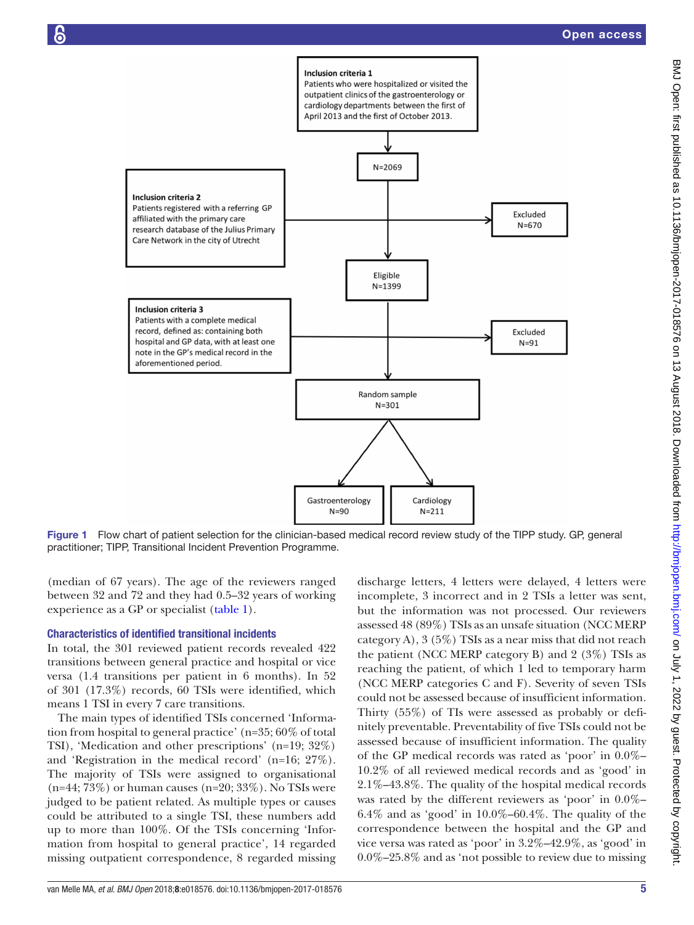

<span id="page-4-0"></span>Figure 1 Flow chart of patient selection for the clinician-based medical record review study of the TIPP study. GP, general practitioner; TIPP, Transitional Incident Prevention Programme.

(median of 67 years). The age of the reviewers ranged between 32 and 72 and they had 0.5–32 years of working experience as a GP or specialist ([table](#page-3-0) 1).

#### Characteristics of identified transitional incidents

In total, the 301 reviewed patient records revealed 422 transitions between general practice and hospital or vice versa (1.4 transitions per patient in 6 months). In 52 of 301 (17.3%) records, 60 TSIs were identified, which means 1 TSI in every 7 care transitions.

The main types of identified TSIs concerned 'Information from hospital to general practice' (n=35; 60% of total TSI), 'Medication and other prescriptions' (n=19; 32%) and 'Registration in the medical record' (n=16; 27%). The majority of TSIs were assigned to organisational (n=44; 73%) or human causes (n=20; 33%). No TSIs were judged to be patient related. As multiple types or causes could be attributed to a single TSI, these numbers add up to more than 100%. Of the TSIs concerning 'Information from hospital to general practice', 14 regarded missing outpatient correspondence, 8 regarded missing

discharge letters, 4 letters were delayed, 4 letters were incomplete, 3 incorrect and in 2 TSIs a letter was sent, but the information was not processed. Our reviewers assessed 48 (89%) TSIs as an unsafe situation (NCC MERP category A), 3 (5%) TSIs as a near miss that did not reach the patient (NCC MERP category B) and 2 (3%) TSIs as reaching the patient, of which 1 led to temporary harm (NCC MERP categories C and F). Severity of seven TSIs could not be assessed because of insufficient information. Thirty (55%) of TIs were assessed as probably or definitely preventable. Preventability of five TSIs could not be assessed because of insufficient information. The quality of the GP medical records was rated as 'poor' in 0.0%– 10.2% of all reviewed medical records and as 'good' in 2.1%–43.8%. The quality of the hospital medical records was rated by the different reviewers as 'poor' in 0.0%–  $6.4\%$  and as 'good' in  $10.0\%$ – $60.4\%$ . The quality of the correspondence between the hospital and the GP and vice versa was rated as 'poor' in 3.2%–42.9%, as 'good' in 0.0%–25.8% and as 'not possible to review due to missing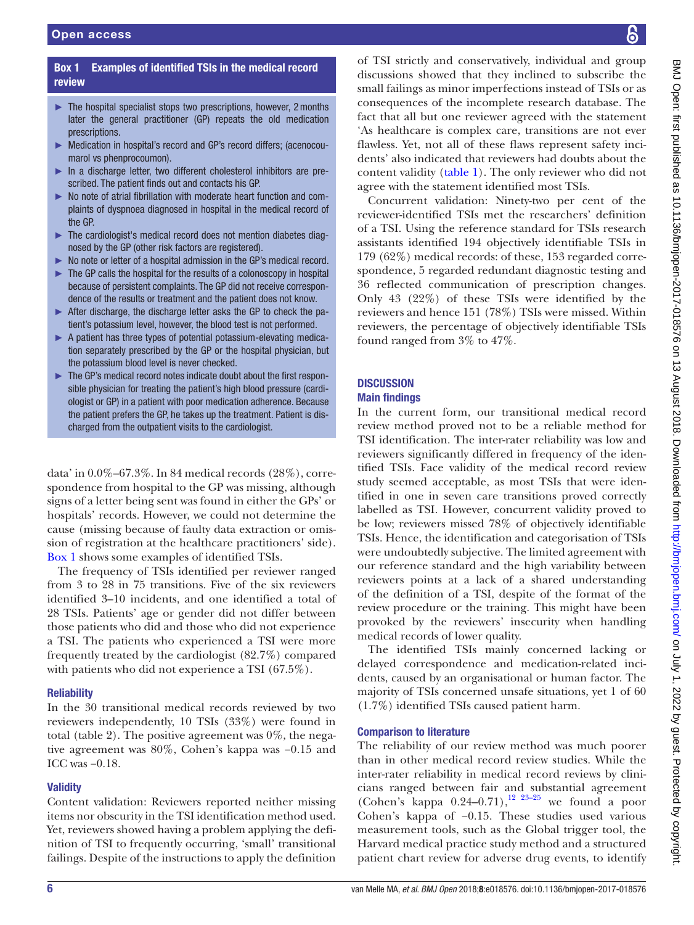# Box 1 Examples of identified TSIs in the medical record review

- <span id="page-5-0"></span> $\blacktriangleright$  The hospital specialist stops two prescriptions, however, 2 months later the general practitioner (GP) repeats the old medication prescriptions.
- ► Medication in hospital's record and GP's record differs; (acenocoumarol vs phenprocoumon).
- ► In a discharge letter, two different cholesterol inhibitors are prescribed. The patient finds out and contacts his GP.
- ► No note of atrial fibrillation with moderate heart function and complaints of dyspnoea diagnosed in hospital in the medical record of the GP.
- ► The cardiologist's medical record does not mention diabetes diagnosed by the GP (other risk factors are registered).
- ► No note or letter of a hospital admission in the GP's medical record.
- ► The GP calls the hospital for the results of a colonoscopy in hospital because of persistent complaints. The GP did not receive correspondence of the results or treatment and the patient does not know.
- $\blacktriangleright$  After discharge, the discharge letter asks the GP to check the patient's potassium level, however, the blood test is not performed.
- ► A patient has three types of potential potassium-elevating medication separately prescribed by the GP or the hospital physician, but the potassium blood level is never checked.
- $\blacktriangleright$  The GP's medical record notes indicate doubt about the first responsible physician for treating the patient's high blood pressure (cardiologist or GP) in a patient with poor medication adherence. Because the patient prefers the GP, he takes up the treatment. Patient is discharged from the outpatient visits to the cardiologist.

data' in 0.0%–67.3%. In 84 medical records (28%), correspondence from hospital to the GP was missing, although signs of a letter being sent was found in either the GPs' or hospitals' records. However, we could not determine the cause (missing because of faulty data extraction or omission of registration at the healthcare practitioners' side). [Box](#page-5-0) 1 shows some examples of identified TSIs.

The frequency of TSIs identified per reviewer ranged from 3 to 28 in 75 transitions. Five of the six reviewers identified 3–10 incidents, and one identified a total of 28 TSIs. Patients' age or gender did not differ between those patients who did and those who did not experience a TSI. The patients who experienced a TSI were more frequently treated by the cardiologist (82.7%) compared with patients who did not experience a TSI (67.5%).

## **Reliability**

In the 30 transitional medical records reviewed by two reviewers independently, 10 TSIs (33%) were found in total (table 2). The positive agreement was 0%, the negative agreement was 80%, Cohen's kappa was −0.15 and ICC was −0.18.

## **Validity**

Content validation: Reviewers reported neither missing items nor obscurity in the TSI identification method used. Yet, reviewers showed having a problem applying the definition of TSI to frequently occurring, 'small' transitional failings. Despite of the instructions to apply the definition

of TSI strictly and conservatively, individual and group discussions showed that they inclined to subscribe the small failings as minor imperfections instead of TSIs or as consequences of the incomplete research database. The fact that all but one reviewer agreed with the statement 'As healthcare is complex care, transitions are not ever flawless. Yet, not all of these flaws represent safety incidents' also indicated that reviewers had doubts about the content validity [\(table](#page-3-0) 1). The only reviewer who did not agree with the statement identified most TSIs.

Concurrent validation: Ninety-two per cent of the reviewer-identified TSIs met the researchers' definition of a TSI. Using the reference standard for TSIs research assistants identified 194 objectively identifiable TSIs in 179 (62%) medical records: of these, 153 regarded correspondence, 5 regarded redundant diagnostic testing and 36 reflected communication of prescription changes. Only 43 (22%) of these TSIs were identified by the reviewers and hence 151 (78%) TSIs were missed. Within reviewers, the percentage of objectively identifiable TSIs found ranged from 3% to 47%.

# **DISCUSSION**

# Main findings

In the current form, our transitional medical record review method proved not to be a reliable method for TSI identification. The inter-rater reliability was low and reviewers significantly differed in frequency of the identified TSIs. Face validity of the medical record review study seemed acceptable, as most TSIs that were identified in one in seven care transitions proved correctly labelled as TSI. However, concurrent validity proved to be low; reviewers missed 78% of objectively identifiable TSIs. Hence, the identification and categorisation of TSIs were undoubtedly subjective. The limited agreement with our reference standard and the high variability between reviewers points at a lack of a shared understanding of the definition of a TSI, despite of the format of the review procedure or the training. This might have been provoked by the reviewers' insecurity when handling medical records of lower quality.

The identified TSIs mainly concerned lacking or delayed correspondence and medication-related incidents, caused by an organisational or human factor. The majority of TSIs concerned unsafe situations, yet 1 of 60 (1.7%) identified TSIs caused patient harm.

# Comparison to literature

The reliability of our review method was much poorer than in other medical record review studies. While the inter-rater reliability in medical record reviews by clinicians ranged between fair and substantial agreement (Cohen's kappa  $0.24-0.71$ ),  $12^{23-25}$  we found a poor Cohen's kappa of −0.15. These studies used various measurement tools, such as the Global trigger tool, the Harvard medical practice study method and a structured patient chart review for adverse drug events, to identify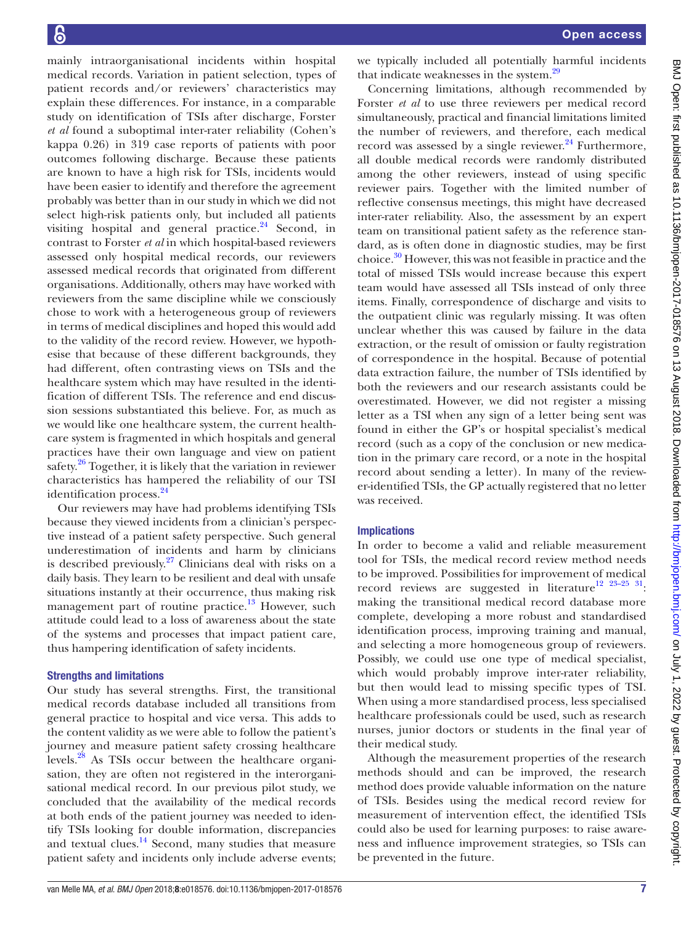mainly intraorganisational incidents within hospital medical records. Variation in patient selection, types of patient records and/or reviewers' characteristics may explain these differences. For instance, in a comparable study on identification of TSIs after discharge, Forster *et al* found a suboptimal inter-rater reliability (Cohen's kappa 0.26) in 319 case reports of patients with poor outcomes following discharge. Because these patients are known to have a high risk for TSIs, incidents would have been easier to identify and therefore the agreement probably was better than in our study in which we did not select high-risk patients only, but included all patients visiting hospital and general practice. $24$  Second, in contrast to Forster *et al* in which hospital-based reviewers assessed only hospital medical records, our reviewers assessed medical records that originated from different organisations. Additionally, others may have worked with reviewers from the same discipline while we consciously chose to work with a heterogeneous group of reviewers in terms of medical disciplines and hoped this would add to the validity of the record review. However, we hypothesise that because of these different backgrounds, they had different, often contrasting views on TSIs and the healthcare system which may have resulted in the identification of different TSIs. The reference and end discussion sessions substantiated this believe. For, as much as we would like one healthcare system, the current healthcare system is fragmented in which hospitals and general practices have their own language and view on patient safety.<sup>26</sup> Together, it is likely that the variation in reviewer characteristics has hampered the reliability of our TSI identification process.<sup>[24](#page-7-17)</sup>

Our reviewers may have had problems identifying TSIs because they viewed incidents from a clinician's perspective instead of a patient safety perspective. Such general underestimation of incidents and harm by clinicians is described previously.<sup>27</sup> Clinicians deal with risks on a daily basis. They learn to be resilient and deal with unsafe situations instantly at their occurrence, thus making risk management part of routine practice.<sup>13</sup> However, such attitude could lead to a loss of awareness about the state of the systems and processes that impact patient care, thus hampering identification of safety incidents.

## Strengths and limitations

Our study has several strengths. First, the transitional medical records database included all transitions from general practice to hospital and vice versa. This adds to the content validity as we were able to follow the patient's journey and measure patient safety crossing healthcare levels[.28](#page-7-20) As TSIs occur between the healthcare organisation, they are often not registered in the interorganisational medical record. In our previous pilot study, we concluded that the availability of the medical records at both ends of the patient journey was needed to identify TSIs looking for double information, discrepancies and textual clues.<sup>14</sup> Second, many studies that measure patient safety and incidents only include adverse events;

we typically included all potentially harmful incidents that indicate weaknesses in the system.<sup>29</sup>

Concerning limitations, although recommended by Forster *et al* to use three reviewers per medical record simultaneously, practical and financial limitations limited the number of reviewers, and therefore, each medical record was assessed by a single reviewer. $^{24}$  Furthermore, all double medical records were randomly distributed among the other reviewers, instead of using specific reviewer pairs. Together with the limited number of reflective consensus meetings, this might have decreased inter-rater reliability. Also, the assessment by an expert team on transitional patient safety as the reference standard, as is often done in diagnostic studies, may be first choice[.30](#page-7-22) However, this was not feasible in practice and the total of missed TSIs would increase because this expert team would have assessed all TSIs instead of only three items. Finally, correspondence of discharge and visits to the outpatient clinic was regularly missing. It was often unclear whether this was caused by failure in the data extraction, or the result of omission or faulty registration of correspondence in the hospital. Because of potential data extraction failure, the number of TSIs identified by both the reviewers and our research assistants could be overestimated. However, we did not register a missing letter as a TSI when any sign of a letter being sent was found in either the GP's or hospital specialist's medical record (such as a copy of the conclusion or new medication in the primary care record, or a note in the hospital record about sending a letter). In many of the reviewer-identified TSIs, the GP actually registered that no letter was received.

# Implications

In order to become a valid and reliable measurement tool for TSIs, the medical record review method needs to be improved. Possibilities for improvement of medical record reviews are suggested in literature<sup>12</sup>  $23-25$  31: making the transitional medical record database more complete, developing a more robust and standardised identification process, improving training and manual, and selecting a more homogeneous group of reviewers. Possibly, we could use one type of medical specialist, which would probably improve inter-rater reliability, but then would lead to missing specific types of TSI. When using a more standardised process, less specialised healthcare professionals could be used, such as research nurses, junior doctors or students in the final year of their medical study.

Although the measurement properties of the research methods should and can be improved, the research method does provide valuable information on the nature of TSIs. Besides using the medical record review for measurement of intervention effect, the identified TSIs could also be used for learning purposes: to raise awareness and influence improvement strategies, so TSIs can be prevented in the future.